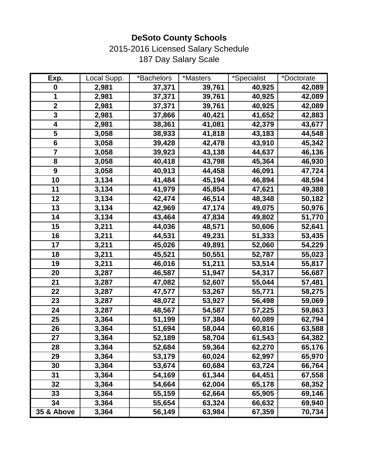2015-2016 Licensed Salary Schedule 187 Day Salary Scale

| Exp.                    | Local Supp. | *Bachelors | *Masters | *Specialist | *Doctorate |
|-------------------------|-------------|------------|----------|-------------|------------|
| $\pmb{0}$               | 2,981       | 37,371     | 39,761   | 40,925      | 42,089     |
| 1                       | 2,981       | 37,371     | 39,761   | 40,925      | 42,089     |
| $\mathbf 2$             | 2,981       | 37,371     | 39,761   | 40,925      | 42,089     |
| 3                       | 2,981       | 37,866     | 40,421   | 41,652      | 42,883     |
| $\overline{\mathbf{4}}$ | 2,981       | 38,361     | 41,081   | 42,379      | 43,677     |
| 5                       | 3,058       | 38,933     | 41,818   | 43,183      | 44,548     |
| $6\phantom{1}$          | 3,058       | 39,428     | 42,478   | 43,910      | 45,342     |
| $\overline{\mathbf{7}}$ | 3,058       | 39,923     | 43,138   | 44,637      | 46,136     |
| 8                       | 3,058       | 40,418     | 43,798   | 45,364      | 46,930     |
| $\boldsymbol{9}$        | 3,058       | 40,913     | 44,458   | 46,091      | 47,724     |
| 10                      | 3,134       | 41,484     | 45,194   | 46,894      | 48,594     |
| 11                      | 3,134       | 41,979     | 45,854   | 47,621      | 49,388     |
| 12                      | 3,134       | 42,474     | 46,514   | 48,348      | 50,182     |
| 13                      | 3,134       | 42,969     | 47,174   | 49,075      | 50,976     |
| 14                      | 3,134       | 43,464     | 47,834   | 49,802      | 51,770     |
| 15                      | 3,211       | 44,036     | 48,571   | 50,606      | 52,641     |
| 16                      | 3,211       | 44,531     | 49,231   | 51,333      | 53,435     |
| 17                      | 3,211       | 45,026     | 49,891   | 52,060      | 54,229     |
| 18                      | 3,211       | 45,521     | 50,551   | 52,787      | 55,023     |
| 19                      | 3,211       | 46,016     | 51,211   | 53,514      | 55,817     |
| 20                      | 3,287       | 46,587     | 51,947   | 54,317      | 56,687     |
| 21                      | 3,287       | 47,082     | 52,607   | 55,044      | 57,481     |
| 22                      | 3,287       | 47,577     | 53,267   | 55,771      | 58,275     |
| 23                      | 3,287       | 48,072     | 53,927   | 56,498      | 59,069     |
| 24                      | 3,287       | 48,567     | 54,587   | 57,225      | 59,863     |
| 25                      | 3,364       | 51,199     | 57,384   | 60,089      | 62,794     |
| 26                      | 3,364       | 51,694     | 58,044   | 60,816      | 63,588     |
| 27                      | 3,364       | 52,189     | 58,704   | 61,543      | 64,382     |
| 28                      | 3,364       | 52,684     | 59,364   | 62,270      | 65,176     |
| 29                      | 3,364       | 53,179     | 60,024   | 62,997      | 65,970     |
| 30                      | 3,364       | 53,674     | 60,684   | 63,724      | 66,764     |
| 31                      | 3,364       | 54,169     | 61,344   | 64,451      | 67,558     |
| 32                      | 3,364       | 54,664     | 62,004   | 65,178      | 68,352     |
| 33                      | 3,364       | 55,159     | 62,664   | 65,905      | 69,146     |
| 34                      | 3,364       | 55,654     | 63,324   | 66,632      | 69,940     |
| 35 & Above              | 3,364       | 56,149     | 63,984   | 67,359      | 70,734     |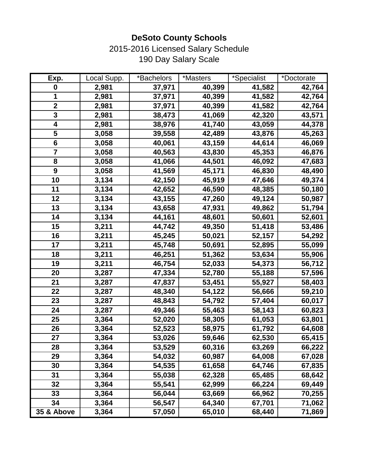2015-2016 Licensed Salary Schedule 190 Day Salary Scale

| Exp.                    | Local Supp. | *Bachelors | *Masters | *Specialist | *Doctorate |
|-------------------------|-------------|------------|----------|-------------|------------|
| $\boldsymbol{0}$        | 2,981       | 37,971     | 40,399   | 41,582      | 42,764     |
| 1                       | 2,981       | 37,971     | 40,399   | 41,582      | 42,764     |
| $\boldsymbol{2}$        | 2,981       | 37,971     | 40,399   | 41,582      | 42,764     |
| 3                       | 2,981       | 38,473     | 41,069   | 42,320      | 43,571     |
| 4                       | 2,981       | 38,976     | 41,740   | 43,059      | 44,378     |
| 5                       | 3,058       | 39,558     | 42,489   | 43,876      | 45,263     |
| $6\phantom{1}$          | 3,058       | 40,061     | 43,159   | 44,614      | 46,069     |
| $\overline{\mathbf{7}}$ | 3,058       | 40,563     | 43,830   | 45,353      | 46,876     |
| 8                       | 3,058       | 41,066     | 44,501   | 46,092      | 47,683     |
| $\boldsymbol{9}$        | 3,058       | 41,569     | 45,171   | 46,830      | 48,490     |
| 10                      | 3,134       | 42,150     | 45,919   | 47,646      | 49,374     |
| 11                      | 3,134       | 42,652     | 46,590   | 48,385      | 50,180     |
| 12                      | 3,134       | 43,155     | 47,260   | 49,124      | 50,987     |
| 13                      | 3,134       | 43,658     | 47,931   | 49,862      | 51,794     |
| 14                      | 3,134       | 44,161     | 48,601   | 50,601      | 52,601     |
| 15                      | 3,211       | 44,742     | 49,350   | 51,418      | 53,486     |
| 16                      | 3,211       | 45,245     | 50,021   | 52,157      | 54,292     |
| 17                      | 3,211       | 45,748     | 50,691   | 52,895      | 55,099     |
| 18                      | 3,211       | 46,251     | 51,362   | 53,634      | 55,906     |
| 19                      | 3,211       | 46,754     | 52,033   | 54,373      | 56,712     |
| 20                      | 3,287       | 47,334     | 52,780   | 55,188      | 57,596     |
| 21                      | 3,287       | 47,837     | 53,451   | 55,927      | 58,403     |
| 22                      | 3,287       | 48,340     | 54,122   | 56,666      | 59,210     |
| 23                      | 3,287       | 48,843     | 54,792   | 57,404      | 60,017     |
| 24                      | 3,287       | 49,346     | 55,463   | 58,143      | 60,823     |
| 25                      | 3,364       | 52,020     | 58,305   | 61,053      | 63,801     |
| 26                      | 3,364       | 52,523     | 58,975   | 61,792      | 64,608     |
| 27                      | 3,364       | 53,026     | 59,646   | 62,530      | 65,415     |
| 28                      | 3,364       | 53,529     | 60,316   | 63,269      | 66,222     |
| 29                      | 3,364       | 54,032     | 60,987   | 64,008      | 67,028     |
| 30                      | 3,364       | 54,535     | 61,658   | 64,746      | 67,835     |
| 31                      | 3,364       | 55,038     | 62,328   | 65,485      | 68,642     |
| 32                      | 3,364       | 55,541     | 62,999   | 66,224      | 69,449     |
| 33                      | 3,364       | 56,044     | 63,669   | 66,962      | 70,255     |
| 34                      | 3,364       | 56,547     | 64,340   | 67,701      | 71,062     |
| 35 & Above              | 3,364       | 57,050     | 65,010   | 68,440      | 71,869     |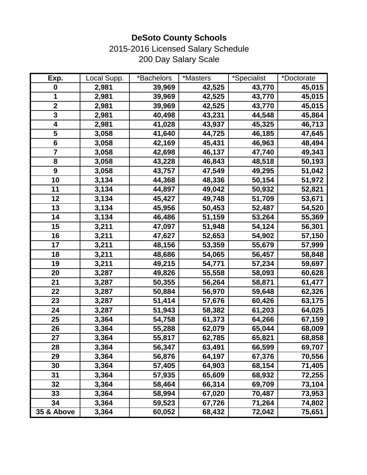2015-2016 Licensed Salary Schedule 200 Day Salary Scale

| Exp.                    | Local Supp. | *Bachelors | *Masters | *Specialist | *Doctorate |
|-------------------------|-------------|------------|----------|-------------|------------|
| $\mathbf 0$             | 2,981       | 39,969     | 42,525   | 43,770      | 45,015     |
| 1                       | 2,981       | 39,969     | 42,525   | 43,770      | 45,015     |
| $\boldsymbol{2}$        | 2,981       | 39,969     | 42,525   | 43,770      | 45,015     |
| 3                       | 2,981       | 40,498     | 43,231   | 44,548      | 45,864     |
| 4                       | 2,981       | 41,028     | 43,937   | 45,325      | 46,713     |
| 5                       | 3,058       | 41,640     | 44,725   | 46,185      | 47,645     |
| $6\phantom{1}$          | 3,058       | 42,169     | 45,431   | 46,963      | 48,494     |
| $\overline{\mathbf{7}}$ | 3,058       | 42,698     | 46,137   | 47,740      | 49,343     |
| 8                       | 3,058       | 43,228     | 46,843   | 48,518      | 50,193     |
| $\boldsymbol{9}$        | 3,058       | 43,757     | 47,549   | 49,295      | 51,042     |
| 10                      | 3,134       | 44,368     | 48,336   | 50,154      | 51,972     |
| 11                      | 3,134       | 44,897     | 49,042   | 50,932      | 52,821     |
| 12                      | 3,134       | 45,427     | 49,748   | 51,709      | 53,671     |
| 13                      | 3,134       | 45,956     | 50,453   | 52,487      | 54,520     |
| 14                      | 3,134       | 46,486     | 51,159   | 53,264      | 55,369     |
| 15                      | 3,211       | 47,097     | 51,948   | 54,124      | 56,301     |
| 16                      | 3,211       | 47,627     | 52,653   | 54,902      | 57,150     |
| 17                      | 3,211       | 48,156     | 53,359   | 55,679      | 57,999     |
| 18                      | 3,211       | 48,686     | 54,065   | 56,457      | 58,848     |
| 19                      | 3,211       | 49,215     | 54,771   | 57,234      | 59,697     |
| 20                      | 3,287       | 49,826     | 55,558   | 58,093      | 60,628     |
| 21                      | 3,287       | 50,355     | 56,264   | 58,871      | 61,477     |
| 22                      | 3,287       | 50,884     | 56,970   | 59,648      | 62,326     |
| 23                      | 3,287       | 51,414     | 57,676   | 60,426      | 63,175     |
| 24                      | 3,287       | 51,943     | 58,382   | 61,203      | 64,025     |
| 25                      | 3,364       | 54,758     | 61,373   | 64,266      | 67,159     |
| 26                      | 3,364       | 55,288     | 62,079   | 65,044      | 68,009     |
| 27                      | 3,364       | 55,817     | 62,785   | 65,821      | 68,858     |
| 28                      | 3,364       | 56,347     | 63,491   | 66,599      | 69,707     |
| 29                      | 3,364       | 56,876     | 64,197   | 67,376      | 70,556     |
| 30                      | 3,364       | 57,405     | 64,903   | 68,154      | 71,405     |
| 31                      | 3,364       | 57,935     | 65,609   | 68,932      | 72,255     |
| 32                      | 3,364       | 58,464     | 66,314   | 69,709      | 73,104     |
| 33                      | 3,364       | 58,994     | 67,020   | 70,487      | 73,953     |
| 34                      | 3,364       | 59,523     | 67,726   | 71,264      | 74,802     |
| 35 & Above              | 3,364       | 60,052     | 68,432   | 72,042      | 75,651     |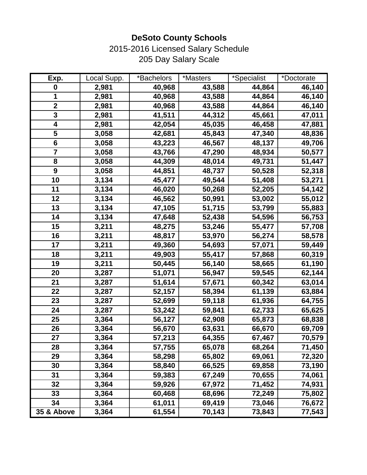2015-2016 Licensed Salary Schedule 205 Day Salary Scale

| Exp.                    | Local Supp. | *Bachelors | *Masters | *Specialist | *Doctorate |
|-------------------------|-------------|------------|----------|-------------|------------|
| $\mathbf 0$             | 2,981       | 40,968     | 43,588   | 44,864      | 46,140     |
| 1                       | 2,981       | 40,968     | 43,588   | 44,864      | 46,140     |
| $\boldsymbol{2}$        | 2,981       | 40,968     | 43,588   | 44,864      | 46,140     |
| 3                       | 2,981       | 41,511     | 44,312   | 45,661      | 47,011     |
| 4                       | 2,981       | 42,054     | 45,035   | 46,458      | 47,881     |
| 5                       | 3,058       | 42,681     | 45,843   | 47,340      | 48,836     |
| $6\phantom{1}$          | 3,058       | 43,223     | 46,567   | 48,137      | 49,706     |
| $\overline{\mathbf{7}}$ | 3,058       | 43,766     | 47,290   | 48,934      | 50,577     |
| 8                       | 3,058       | 44,309     | 48,014   | 49,731      | 51,447     |
| $\boldsymbol{9}$        | 3,058       | 44,851     | 48,737   | 50,528      | 52,318     |
| 10                      | 3,134       | 45,477     | 49,544   | 51,408      | 53,271     |
| 11                      | 3,134       | 46,020     | 50,268   | 52,205      | 54,142     |
| 12                      | 3,134       | 46,562     | 50,991   | 53,002      | 55,012     |
| 13                      | 3,134       | 47,105     | 51,715   | 53,799      | 55,883     |
| 14                      | 3,134       | 47,648     | 52,438   | 54,596      | 56,753     |
| 15                      | 3,211       | 48,275     | 53,246   | 55,477      | 57,708     |
| 16                      | 3,211       | 48,817     | 53,970   | 56,274      | 58,578     |
| 17                      | 3,211       | 49,360     | 54,693   | 57,071      | 59,449     |
| 18                      | 3,211       | 49,903     | 55,417   | 57,868      | 60,319     |
| 19                      | 3,211       | 50,445     | 56,140   | 58,665      | 61,190     |
| 20                      | 3,287       | 51,071     | 56,947   | 59,545      | 62,144     |
| 21                      | 3,287       | 51,614     | 57,671   | 60,342      | 63,014     |
| 22                      | 3,287       | 52,157     | 58,394   | 61,139      | 63,884     |
| 23                      | 3,287       | 52,699     | 59,118   | 61,936      | 64,755     |
| 24                      | 3,287       | 53,242     | 59,841   | 62,733      | 65,625     |
| 25                      | 3,364       | 56,127     | 62,908   | 65,873      | 68,838     |
| 26                      | 3,364       | 56,670     | 63,631   | 66,670      | 69,709     |
| 27                      | 3,364       | 57,213     | 64,355   | 67,467      | 70,579     |
| 28                      | 3,364       | 57,755     | 65,078   | 68,264      | 71,450     |
| 29                      | 3,364       | 58,298     | 65,802   | 69,061      | 72,320     |
| 30                      | 3,364       | 58,840     | 66,525   | 69,858      | 73,190     |
| 31                      | 3,364       | 59,383     | 67,249   | 70,655      | 74,061     |
| 32                      | 3,364       | 59,926     | 67,972   | 71,452      | 74,931     |
| 33                      | 3,364       | 60,468     | 68,696   | 72,249      | 75,802     |
| 34                      | 3,364       | 61,011     | 69,419   | 73,046      | 76,672     |
| 35 & Above              | 3,364       | 61,554     | 70,143   | 73,843      | 77,543     |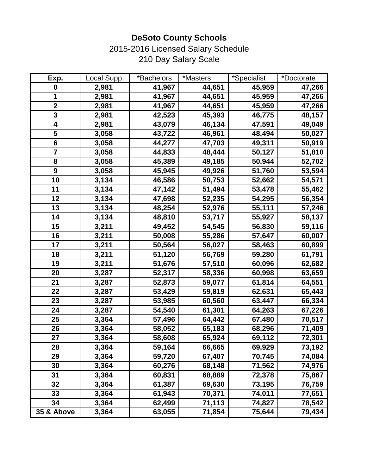2015-2016 Licensed Salary Schedule 210 Day Salary Scale

| Exp.                    | Local Supp. | *Bachelors | *Masters | *Specialist | *Doctorate |
|-------------------------|-------------|------------|----------|-------------|------------|
| $\boldsymbol{0}$        | 2,981       | 41,967     | 44,651   | 45,959      | 47,266     |
| 1                       | 2,981       | 41,967     | 44,651   | 45,959      | 47,266     |
| $\mathbf 2$             | 2,981       | 41,967     | 44,651   | 45,959      | 47,266     |
| 3                       | 2,981       | 42,523     | 45,393   | 46,775      | 48,157     |
| 4                       | 2,981       | 43,079     | 46,134   | 47,591      | 49,049     |
| 5                       | 3,058       | 43,722     | 46,961   | 48,494      | 50,027     |
| $6\phantom{1}$          | 3,058       | 44,277     | 47,703   | 49,311      | 50,919     |
| $\overline{\mathbf{7}}$ | 3,058       | 44,833     | 48,444   | 50,127      | 51,810     |
| 8                       | 3,058       | 45,389     | 49,185   | 50,944      | 52,702     |
| $\boldsymbol{9}$        | 3,058       | 45,945     | 49,926   | 51,760      | 53,594     |
| 10                      | 3,134       | 46,586     | 50,753   | 52,662      | 54,571     |
| 11                      | 3,134       | 47,142     | 51,494   | 53,478      | 55,462     |
| 12                      | 3,134       | 47,698     | 52,235   | 54,295      | 56,354     |
| 13                      | 3,134       | 48,254     | 52,976   | 55,111      | 57,246     |
| 14                      | 3,134       | 48,810     | 53,717   | 55,927      | 58,137     |
| 15                      | 3,211       | 49,452     | 54,545   | 56,830      | 59,116     |
| 16                      | 3,211       | 50,008     | 55,286   | 57,647      | 60,007     |
| 17                      | 3,211       | 50,564     | 56,027   | 58,463      | 60,899     |
| 18                      | 3,211       | 51,120     | 56,769   | 59,280      | 61,791     |
| 19                      | 3,211       | 51,676     | 57,510   | 60,096      | 62,682     |
| 20                      | 3,287       | 52,317     | 58,336   | 60,998      | 63,659     |
| 21                      | 3,287       | 52,873     | 59,077   | 61,814      | 64,551     |
| 22                      | 3,287       | 53,429     | 59,819   | 62,631      | 65,443     |
| 23                      | 3,287       | 53,985     | 60,560   | 63,447      | 66,334     |
| 24                      | 3,287       | 54,540     | 61,301   | 64,263      | 67,226     |
| 25                      | 3,364       | 57,496     | 64,442   | 67,480      | 70,517     |
| 26                      | 3,364       | 58,052     | 65,183   | 68,296      | 71,409     |
| 27                      | 3,364       | 58,608     | 65,924   | 69,112      | 72,301     |
| 28                      | 3,364       | 59,164     | 66,665   | 69,929      | 73,192     |
| 29                      | 3,364       | 59,720     | 67,407   | 70,745      | 74,084     |
| 30                      | 3,364       | 60,276     | 68,148   | 71,562      | 74,976     |
| 31                      | 3,364       | 60,831     | 68,889   | 72,378      | 75,867     |
| 32                      | 3,364       | 61,387     | 69,630   | 73,195      | 76,759     |
| 33                      | 3,364       | 61,943     | 70,371   | 74,011      | 77,651     |
| 34                      | 3,364       | 62,499     | 71,113   | 74,827      | 78,542     |
| 35 & Above              | 3,364       | 63,055     | 71,854   | 75,644      | 79,434     |